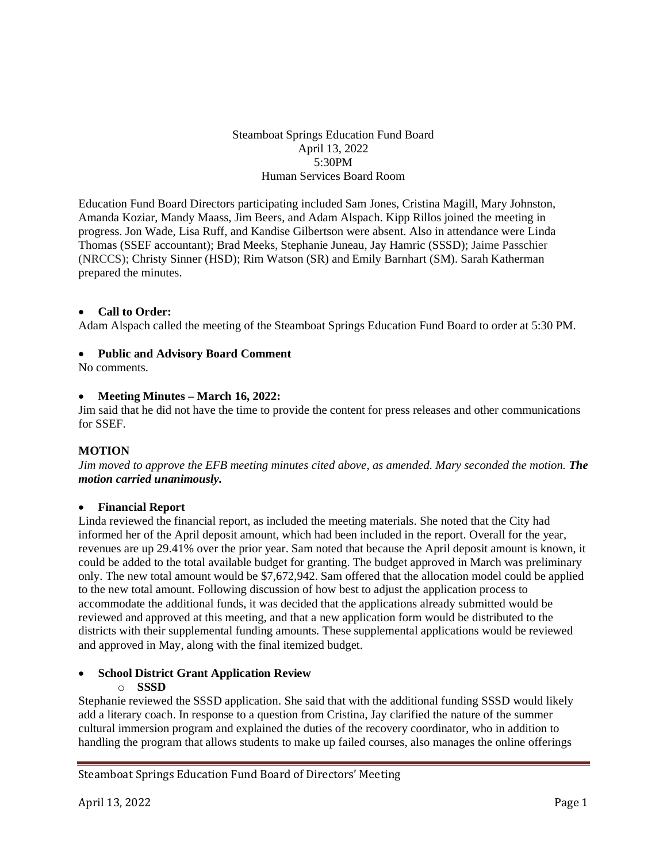## Steamboat Springs Education Fund Board April 13, 2022 5:30PM Human Services Board Room

Education Fund Board Directors participating included Sam Jones, Cristina Magill, Mary Johnston, Amanda Koziar, Mandy Maass, Jim Beers, and Adam Alspach. Kipp Rillos joined the meeting in progress. Jon Wade, Lisa Ruff, and Kandise Gilbertson were absent. Also in attendance were Linda Thomas (SSEF accountant); Brad Meeks, Stephanie Juneau, Jay Hamric (SSSD); Jaime Passchier (NRCCS); Christy Sinner (HSD); Rim Watson (SR) and Emily Barnhart (SM). Sarah Katherman prepared the minutes.

## • **Call to Order:**

Adam Alspach called the meeting of the Steamboat Springs Education Fund Board to order at 5:30 PM.

### • **Public and Advisory Board Comment**

No comments.

### • **Meeting Minutes – March 16, 2022:**

Jim said that he did not have the time to provide the content for press releases and other communications for SSEF.

### **MOTION**

*Jim moved to approve the EFB meeting minutes cited above, as amended. Mary seconded the motion. The motion carried unanimously.*

### • **Financial Report**

Linda reviewed the financial report, as included the meeting materials. She noted that the City had informed her of the April deposit amount, which had been included in the report. Overall for the year, revenues are up 29.41% over the prior year. Sam noted that because the April deposit amount is known, it could be added to the total available budget for granting. The budget approved in March was preliminary only. The new total amount would be \$7,672,942. Sam offered that the allocation model could be applied to the new total amount. Following discussion of how best to adjust the application process to accommodate the additional funds, it was decided that the applications already submitted would be reviewed and approved at this meeting, and that a new application form would be distributed to the districts with their supplemental funding amounts. These supplemental applications would be reviewed and approved in May, along with the final itemized budget.

# • **School District Grant Application Review**

# o **SSSD**

Stephanie reviewed the SSSD application. She said that with the additional funding SSSD would likely add a literary coach. In response to a question from Cristina, Jay clarified the nature of the summer cultural immersion program and explained the duties of the recovery coordinator, who in addition to handling the program that allows students to make up failed courses, also manages the online offerings

# Steamboat Springs Education Fund Board of Directors' Meeting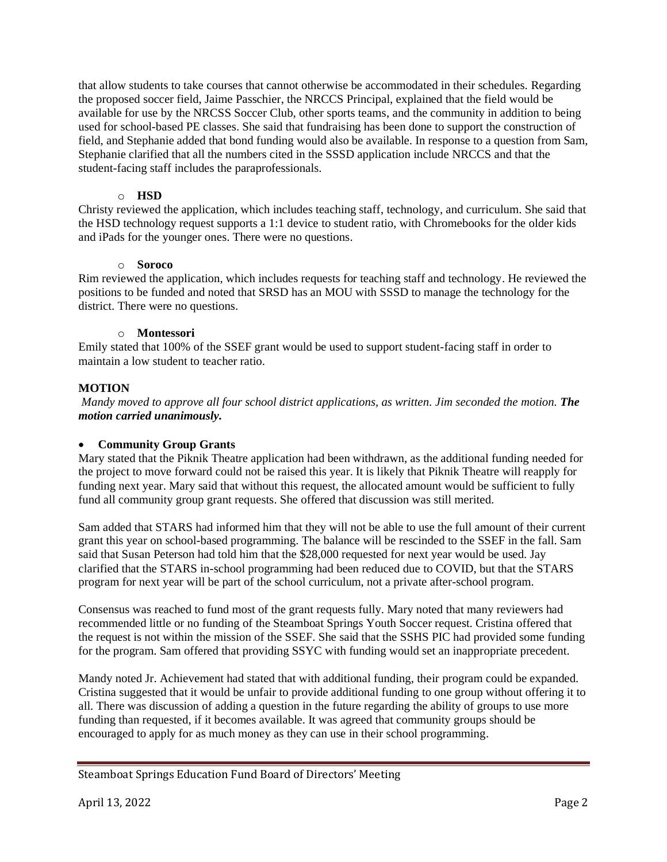that allow students to take courses that cannot otherwise be accommodated in their schedules. Regarding the proposed soccer field, Jaime Passchier, the NRCCS Principal, explained that the field would be available for use by the NRCSS Soccer Club, other sports teams, and the community in addition to being used for school-based PE classes. She said that fundraising has been done to support the construction of field, and Stephanie added that bond funding would also be available. In response to a question from Sam, Stephanie clarified that all the numbers cited in the SSSD application include NRCCS and that the student-facing staff includes the paraprofessionals.

## o **HSD**

Christy reviewed the application, which includes teaching staff, technology, and curriculum. She said that the HSD technology request supports a 1:1 device to student ratio, with Chromebooks for the older kids and iPads for the younger ones. There were no questions.

## o **Soroco**

Rim reviewed the application, which includes requests for teaching staff and technology. He reviewed the positions to be funded and noted that SRSD has an MOU with SSSD to manage the technology for the district. There were no questions.

# o **Montessori**

Emily stated that 100% of the SSEF grant would be used to support student-facing staff in order to maintain a low student to teacher ratio.

# **MOTION**

*Mandy moved to approve all four school district applications, as written. Jim seconded the motion. The motion carried unanimously.*

# • **Community Group Grants**

Mary stated that the Piknik Theatre application had been withdrawn, as the additional funding needed for the project to move forward could not be raised this year. It is likely that Piknik Theatre will reapply for funding next year. Mary said that without this request, the allocated amount would be sufficient to fully fund all community group grant requests. She offered that discussion was still merited.

Sam added that STARS had informed him that they will not be able to use the full amount of their current grant this year on school-based programming. The balance will be rescinded to the SSEF in the fall. Sam said that Susan Peterson had told him that the \$28,000 requested for next year would be used. Jay clarified that the STARS in-school programming had been reduced due to COVID, but that the STARS program for next year will be part of the school curriculum, not a private after-school program.

Consensus was reached to fund most of the grant requests fully. Mary noted that many reviewers had recommended little or no funding of the Steamboat Springs Youth Soccer request. Cristina offered that the request is not within the mission of the SSEF. She said that the SSHS PIC had provided some funding for the program. Sam offered that providing SSYC with funding would set an inappropriate precedent.

Mandy noted Jr. Achievement had stated that with additional funding, their program could be expanded. Cristina suggested that it would be unfair to provide additional funding to one group without offering it to all. There was discussion of adding a question in the future regarding the ability of groups to use more funding than requested, if it becomes available. It was agreed that community groups should be encouraged to apply for as much money as they can use in their school programming.

# Steamboat Springs Education Fund Board of Directors' Meeting